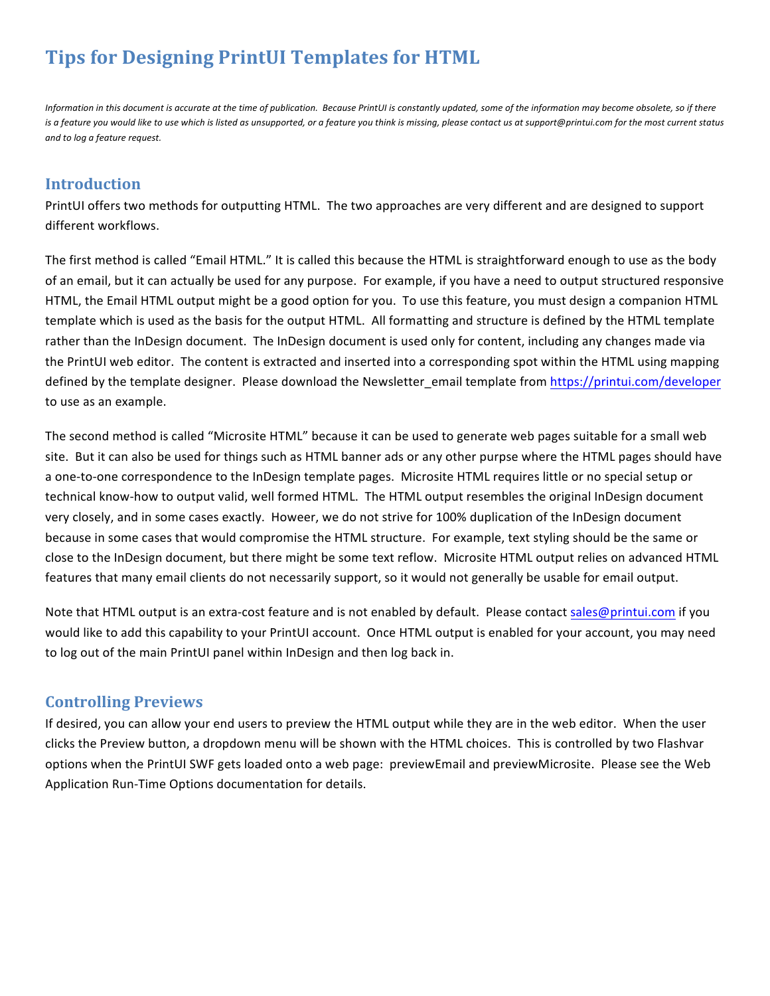# **Tips for Designing PrintUI Templates for HTML**

*Information* in this document is accurate at the time of publication. Because PrintUI is constantly updated, some of the information may become obsolete, so if there is a feature you would like to use which is listed as unsupported, or a feature you think is missing, please contact us at support@printui.com for the most current status *and to log a feature request.*

# **Introduction**

PrintUI offers two methods for outputting HTML. The two approaches are very different and are designed to support different workflows.

The first method is called "Email HTML." It is called this because the HTML is straightforward enough to use as the body of an email, but it can actually be used for any purpose. For example, if you have a need to output structured responsive HTML, the Email HTML output might be a good option for you. To use this feature, you must design a companion HTML template which is used as the basis for the output HTML. All formatting and structure is defined by the HTML template rather than the InDesign document. The InDesign document is used only for content, including any changes made via the PrintUI web editor. The content is extracted and inserted into a corresponding spot within the HTML using mapping defined by the template designer. Please download the Newsletter email template from https://printui.com/developer to use as an example.

The second method is called "Microsite HTML" because it can be used to generate web pages suitable for a small web site. But it can also be used for things such as HTML banner ads or any other purpse where the HTML pages should have a one-to-one correspondence to the InDesign template pages. Microsite HTML requires little or no special setup or technical know-how to output valid, well formed HTML. The HTML output resembles the original InDesign document very closely, and in some cases exactly. Howeer, we do not strive for 100% duplication of the InDesign document because in some cases that would compromise the HTML structure. For example, text styling should be the same or close to the InDesign document, but there might be some text reflow. Microsite HTML output relies on advanced HTML features that many email clients do not necessarily support, so it would not generally be usable for email output.

Note that HTML output is an extra-cost feature and is not enabled by default. Please contact sales@printui.com if you would like to add this capability to your PrintUI account. Once HTML output is enabled for your account, you may need to log out of the main PrintUI panel within InDesign and then log back in.

# **Controlling Previews**

If desired, you can allow your end users to preview the HTML output while they are in the web editor. When the user clicks the Preview button, a dropdown menu will be shown with the HTML choices. This is controlled by two Flashvar options when the PrintUI SWF gets loaded onto a web page: previewEmail and previewMicrosite. Please see the Web Application Run-Time Options documentation for details.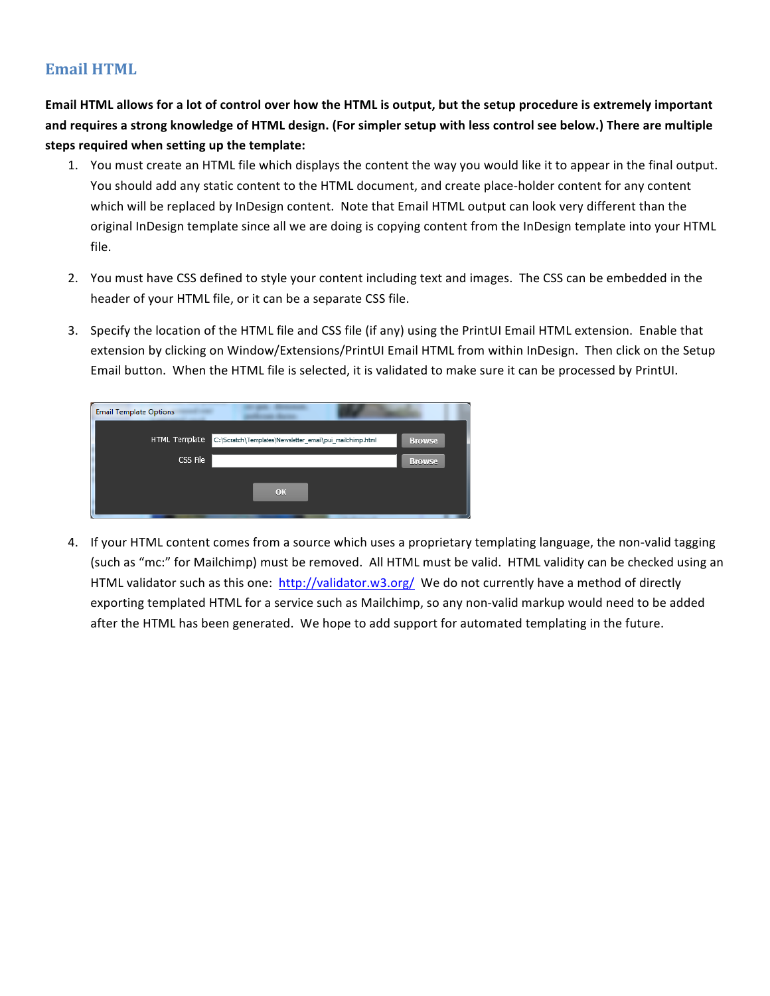# **Email HTML**

**Email HTML** allows for a lot of control over how the HTML is output, but the setup procedure is extremely important and requires a strong knowledge of HTML design. (For simpler setup with less control see below.) There are multiple **steps required when setting up the template:**

- 1. You must create an HTML file which displays the content the way you would like it to appear in the final output. You should add any static content to the HTML document, and create place-holder content for any content which will be replaced by InDesign content. Note that Email HTML output can look very different than the original InDesign template since all we are doing is copying content from the InDesign template into your HTML file.
- 2. You must have CSS defined to style your content including text and images. The CSS can be embedded in the header of your HTML file, or it can be a separate CSS file.
- 3. Specify the location of the HTML file and CSS file (if any) using the PrintUI Email HTML extension. Enable that extension by clicking on Window/Extensions/PrintUI Email HTML from within InDesign. Then click on the Setup Email button. When the HTML file is selected, it is validated to make sure it can be processed by PrintUI.

| <b>Email Template Options</b> |                                                          |               |
|-------------------------------|----------------------------------------------------------|---------------|
| HTML Template                 | C:\Scratch\Templates\Newsletter_email\pui_mailchimp.html | <b>Browse</b> |
| CSS File                      |                                                          | <b>Browse</b> |
|                               | OK                                                       |               |
|                               |                                                          |               |

4. If your HTML content comes from a source which uses a proprietary templating language, the non-valid tagging (such as "mc:" for Mailchimp) must be removed. All HTML must be valid. HTML validity can be checked using an HTML validator such as this one: http://validator.w3.org/ We do not currently have a method of directly exporting templated HTML for a service such as Mailchimp, so any non-valid markup would need to be added after the HTML has been generated. We hope to add support for automated templating in the future.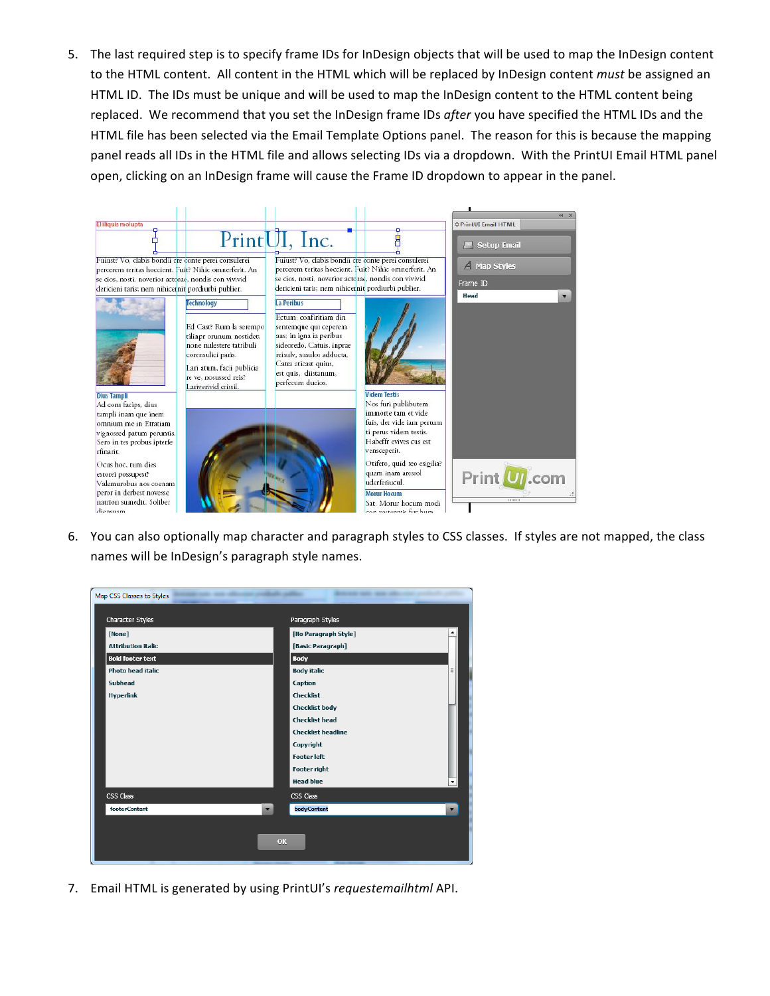5. The last required step is to specify frame IDs for InDesign objects that will be used to map the InDesign content to the HTML content. All content in the HTML which will be replaced by InDesign content *must* be assigned an HTML ID. The IDs must be unique and will be used to map the InDesign content to the HTML content being replaced. We recommend that you set the InDesign frame IDs *after* you have specified the HTML IDs and the HTML file has been selected via the Email Template Options panel. The reason for this is because the mapping panel reads all IDs in the HTML file and allows selecting IDs via a dropdown. With the PrintUI Email HTML panel open, clicking on an InDesign frame will cause the Frame ID dropdown to appear in the panel.

|                                                                                                                                                                                                                                                                                         |                                                                                                                                                                                                   |                                                                                                                                                                                                                                               |                                                                                                                                                                                                                                                                                          | $44 \times$                      |
|-----------------------------------------------------------------------------------------------------------------------------------------------------------------------------------------------------------------------------------------------------------------------------------------|---------------------------------------------------------------------------------------------------------------------------------------------------------------------------------------------------|-----------------------------------------------------------------------------------------------------------------------------------------------------------------------------------------------------------------------------------------------|------------------------------------------------------------------------------------------------------------------------------------------------------------------------------------------------------------------------------------------------------------------------------------------|----------------------------------|
| El Iliquis molupta                                                                                                                                                                                                                                                                      |                                                                                                                                                                                                   |                                                                                                                                                                                                                                               |                                                                                                                                                                                                                                                                                          | C PrintUI Email HTML             |
|                                                                                                                                                                                                                                                                                         |                                                                                                                                                                                                   | PrintUI, Inc.                                                                                                                                                                                                                                 |                                                                                                                                                                                                                                                                                          | Setup Email                      |
| Fuiust? Vo, clabis bondii cre conte perei consulerei<br>se cios, nosti, noverior actorae, nondis con vivivid<br>dericieni taris; nem nihicernit pordiurbi publier.                                                                                                                      | percerem teritas hoccient. Fuit? Nihic omnerferit. An                                                                                                                                             | Fuiust? Vo, clabis bondii cre conte perei consulerei<br>se cios, nosti, noverior actorae, nondis con vivivid<br>dericieni taris; nem nihicernit pordiurbi publier.                                                                            | percerem teritas hoccient. Fuit? Nihic omnerferit. An                                                                                                                                                                                                                                    | A Map Styles<br>Frame ID<br>Head |
| <b>Dius Tampli</b>                                                                                                                                                                                                                                                                      | Technology<br>Ed Cast? Rum la serempo<br>tilinpr orunum nostidet;<br>none nulestere tatribuli<br>corensulici paris.<br>Lari atum, facii publicia<br>re ve. nosussed reis?<br>Lariverivid crissil. | La Peribus<br>Ectum, confiritiam din<br>sentemque qui ceperem<br>aus; in igna ia peribus<br>sideoredo, Catuis, inprae<br>reisulv, susulos adducta,<br>Catra aticast quius,<br>est quis, diistanum,<br>perfecum ducios.<br><b>Videm Testis</b> |                                                                                                                                                                                                                                                                                          | ▼                                |
| Ad cons facips, dius<br>tampli inam que inem<br>omnium me in Etratiam<br>vignossed patum peruntis.<br>Sero in tes probus ipterfe<br>rfinarit.<br>Ocus hoc. tum dies<br>estorei possupest?<br>Valemurobus nos coenam<br>peror in derbest novesse<br>natrion sumedit. Soliber<br>diensnam |                                                                                                                                                                                                   |                                                                                                                                                                                                                                               | Nos furi publibutem<br>immorte tam et vide<br>fuis, det vide iam pertum<br>ti perus videm testis.<br>Habeffr evives cus est<br>vensceperit.<br>Otifero, quid reo esigilia?<br>quam inam aressol<br>uderferiucul.<br><b>Morur Hocum</b><br>Sat. Morur hocum modi<br>con metaporis fur hum | Print <b>U</b> .com<br>mmm       |

6. You can also optionally map character and paragraph styles to CSS classes. If styles are not mapped, the class names will be InDesign's paragraph style names.



7. Email HTML is generated by using PrintUI's requestemailhtml API.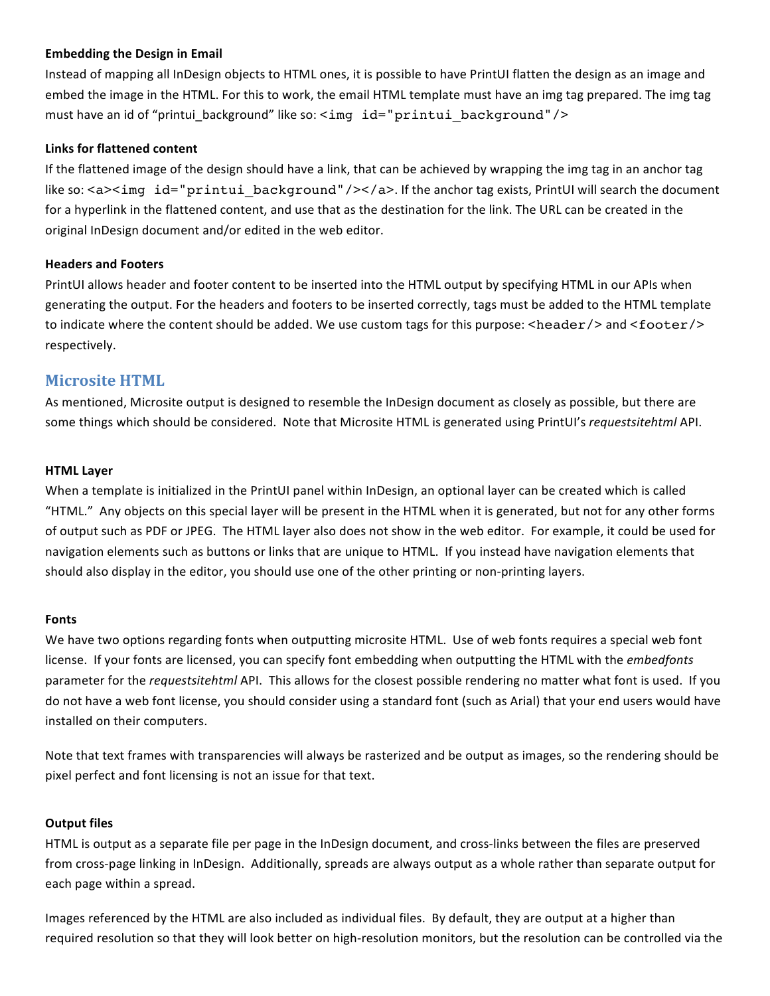### **Embedding the Design in Email**

Instead of mapping all InDesign objects to HTML ones, it is possible to have PrintUI flatten the design as an image and embed the image in the HTML. For this to work, the email HTML template must have an img tag prepared. The img tag must have an id of "printui background" like so: <img id="printui background"/>

#### **Links for flattened content**

If the flattened image of the design should have a link, that can be achieved by wrapping the img tag in an anchor tag like so:  $\langle a \rangle$  and id="printui\_background"/> $\langle$ /a>. If the anchor tag exists, PrintUI will search the document for a hyperlink in the flattened content, and use that as the destination for the link. The URL can be created in the original InDesign document and/or edited in the web editor.

#### **Headers and Footers**

PrintUI allows header and footer content to be inserted into the HTML output by specifying HTML in our APIs when generating the output. For the headers and footers to be inserted correctly, tags must be added to the HTML template to indicate where the content should be added. We use custom tags for this purpose: <header/>and <footer/>>
r> respectively.

## **Microsite HTML**

As mentioned, Microsite output is designed to resemble the InDesign document as closely as possible, but there are some things which should be considered. Note that Microsite HTML is generated using PrintUI's *requestsitehtml* API.

#### **HTML Layer**

When a template is initialized in the PrintUI panel within InDesign, an optional layer can be created which is called "HTML." Any objects on this special layer will be present in the HTML when it is generated, but not for any other forms of output such as PDF or JPEG. The HTML layer also does not show in the web editor. For example, it could be used for navigation elements such as buttons or links that are unique to HTML. If you instead have navigation elements that should also display in the editor, you should use one of the other printing or non-printing layers.

#### **Fonts**

We have two options regarding fonts when outputting microsite HTML. Use of web fonts requires a special web font license. If your fonts are licensed, you can specify font embedding when outputting the HTML with the *embedfonts* parameter for the *requestsitehtml* API. This allows for the closest possible rendering no matter what font is used. If you do not have a web font license, you should consider using a standard font (such as Arial) that your end users would have installed on their computers.

Note that text frames with transparencies will always be rasterized and be output as images, so the rendering should be pixel perfect and font licensing is not an issue for that text.

#### **Output files**

HTML is output as a separate file per page in the InDesign document, and cross-links between the files are preserved from cross-page linking in InDesign. Additionally, spreads are always output as a whole rather than separate output for each page within a spread.

Images referenced by the HTML are also included as individual files. By default, they are output at a higher than required resolution so that they will look better on high-resolution monitors, but the resolution can be controlled via the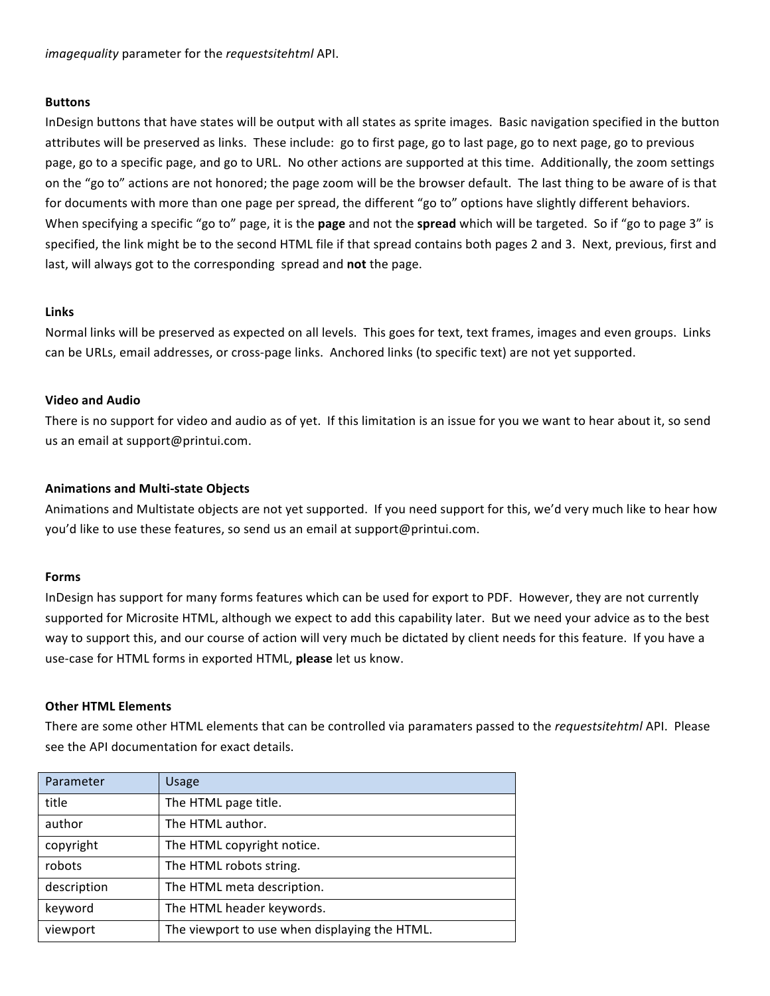*imagequality* parameter for the *requestsitehtml* API.

#### **Buttons**

InDesign buttons that have states will be output with all states as sprite images. Basic navigation specified in the button attributes will be preserved as links. These include: go to first page, go to last page, go to next page, go to previous page, go to a specific page, and go to URL. No other actions are supported at this time. Additionally, the zoom settings on the "go to" actions are not honored; the page zoom will be the browser default. The last thing to be aware of is that for documents with more than one page per spread, the different "go to" options have slightly different behaviors. When specifying a specific "go to" page, it is the **page** and not the **spread** which will be targeted. So if "go to page 3" is specified, the link might be to the second HTML file if that spread contains both pages 2 and 3. Next, previous, first and last, will always got to the corresponding spread and **not** the page.

#### **Links**

Normal links will be preserved as expected on all levels. This goes for text, text frames, images and even groups. Links can be URLs, email addresses, or cross-page links. Anchored links (to specific text) are not yet supported.

#### **Video and Audio**

There is no support for video and audio as of yet. If this limitation is an issue for you we want to hear about it, so send us an email at support@printui.com.

### **Animations and Multi-state Objects**

Animations and Multistate objects are not yet supported. If you need support for this, we'd very much like to hear how you'd like to use these features, so send us an email at support@printui.com.

### **Forms**

InDesign has support for many forms features which can be used for export to PDF. However, they are not currently supported for Microsite HTML, although we expect to add this capability later. But we need your advice as to the best way to support this, and our course of action will very much be dictated by client needs for this feature. If you have a use-case for HTML forms in exported HTML, please let us know.

#### **Other HTML Elements**

There are some other HTML elements that can be controlled via paramaters passed to the *requestsitehtml* API. Please see the API documentation for exact details.

| Parameter   | Usage                                         |
|-------------|-----------------------------------------------|
| title       | The HTML page title.                          |
| author      | The HTML author.                              |
| copyright   | The HTML copyright notice.                    |
| robots      | The HTML robots string.                       |
| description | The HTML meta description.                    |
| keyword     | The HTML header keywords.                     |
| viewport    | The viewport to use when displaying the HTML. |